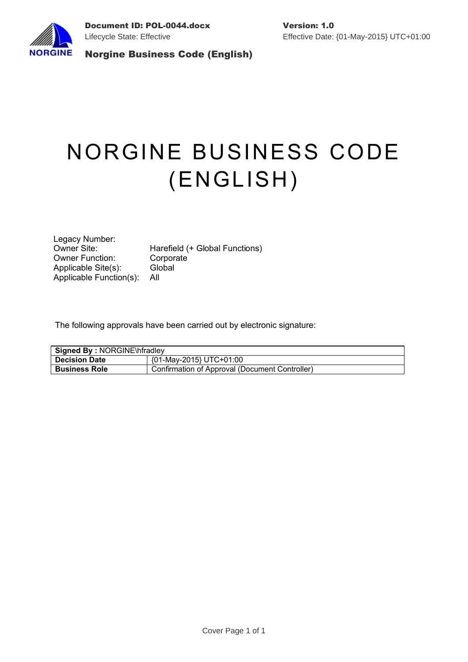

# NORGINE BUSINESS CODE (ENGLISH)

Legacy Number:<br>Owner Site: Owner Function: Corporate Applicable Site(s): Global Applicable Function(s): All

Harefield (+ Global Functions)

The following approvals have been carried out by electronic signature:

| <b>Signed By: NORGINE\hfradley</b> |                                                |  |  |  |
|------------------------------------|------------------------------------------------|--|--|--|
| <b>Decision Date</b>               | {01-May-2015} UTC+01:00                        |  |  |  |
| <b>Business Role</b>               | Confirmation of Approval (Document Controller) |  |  |  |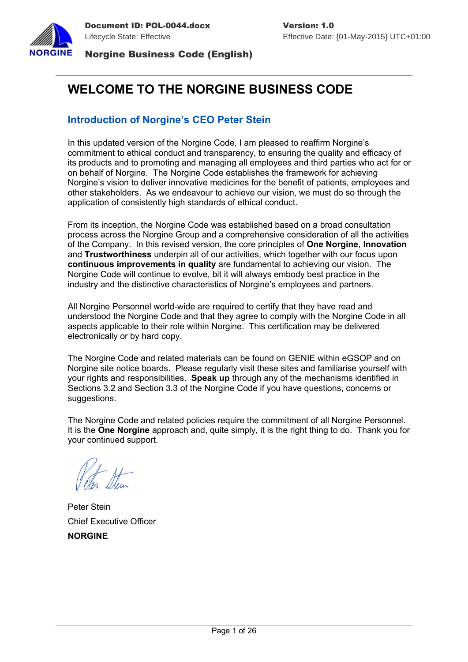

# **WELCOME TO THE NORGINE BUSINESS CODE**

# **Introduction of Norgine's CEO Peter Stein**

In this updated version of the Norgine Code, I am pleased to reaffirm Norgine's commitment to ethical conduct and transparency, to ensuring the quality and efficacy of its products and to promoting and managing all employees and third parties who act for or on behalf of Norgine. The Norgine Code establishes the framework for achieving Norgine's vision to deliver innovative medicines for the benefit of patients, employees and other stakeholders. As we endeavour to achieve our vision, we must do so through the application of consistently high standards of ethical conduct.

From its inception, the Norgine Code was established based on a broad consultation process across the Norgine Group and a comprehensive consideration of all the activities of the Company. In this revised version, the core principles of **One Norgine**, **Innovation**  and **Trustworthiness** underpin all of our activities, which together with our focus upon **continuous improvements in quality** are fundamental to achieving our vision. The Norgine Code will continue to evolve, bit it will always embody best practice in the industry and the distinctive characteristics of Norgine's employees and partners.

All Norgine Personnel world-wide are required to certify that they have read and understood the Norgine Code and that they agree to comply with the Norgine Code in all aspects applicable to their role within Norgine. This certification may be delivered electronically or by hard copy.

The Norgine Code and related materials can be found on GENIE within eGSOP and on Norgine site notice boards. Please regularly visit these sites and familiarise yourself with your rights and responsibilities. **Speak up** through any of the mechanisms identified in Sections [3.2](#page-10-0) and Section [3.3](#page-11-0) of the Norgine Code if you have questions, concerns or suggestions.

The Norgine Code and related policies require the commitment of all Norgine Personnel. It is the **One Norgine** approach and, quite simply, it is the right thing to do. Thank you for your continued support.

Peter Stein Chief Executive Officer **NORGINE**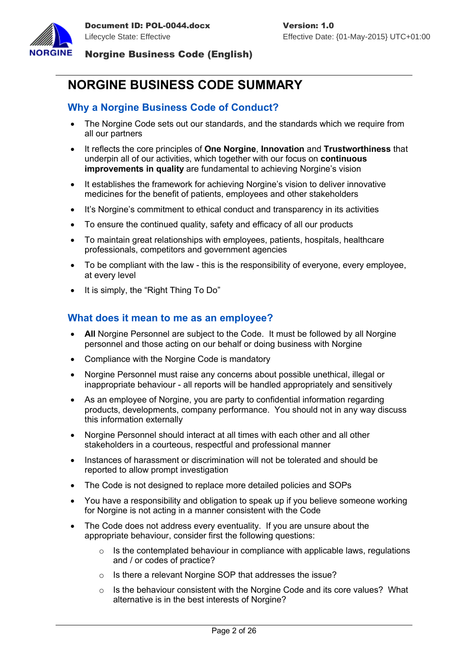

# **NORGINE BUSINESS CODE SUMMARY**

# **Why a Norgine Business Code of Conduct?**

- The Norgine Code sets out our standards, and the standards which we require from all our partners
- It reflects the core principles of **One Norgine**, **Innovation** and **Trustworthiness** that underpin all of our activities, which together with our focus on **continuous improvements in quality** are fundamental to achieving Norgine's vision
- It establishes the framework for achieving Norgine's vision to deliver innovative medicines for the benefit of patients, employees and other stakeholders
- It's Norgine's commitment to ethical conduct and transparency in its activities
- To ensure the continued quality, safety and efficacy of all our products
- To maintain great relationships with employees, patients, hospitals, healthcare professionals, competitors and government agencies
- To be compliant with the law this is the responsibility of everyone, every employee, at every level
- It is simply, the "Right Thing To Do"

# **What does it mean to me as an employee?**

- **All** Norgine Personnel are subject to the Code. It must be followed by all Norgine personnel and those acting on our behalf or doing business with Norgine
- Compliance with the Norgine Code is mandatory
- Norgine Personnel must raise any concerns about possible unethical, illegal or inappropriate behaviour - all reports will be handled appropriately and sensitively
- As an employee of Norgine, you are party to confidential information regarding products, developments, company performance. You should not in any way discuss this information externally
- Norgine Personnel should interact at all times with each other and all other stakeholders in a courteous, respectful and professional manner
- Instances of harassment or discrimination will not be tolerated and should be reported to allow prompt investigation
- The Code is not designed to replace more detailed policies and SOPs
- You have a responsibility and obligation to speak up if you believe someone working for Norgine is not acting in a manner consistent with the Code
- The Code does not address every eventuality. If you are unsure about the appropriate behaviour, consider first the following questions:
	- $\circ$  Is the contemplated behaviour in compliance with applicable laws, regulations and / or codes of practice?
	- o Is there a relevant Norgine SOP that addresses the issue?
	- $\circ$  Is the behaviour consistent with the Norgine Code and its core values? What alternative is in the best interests of Norgine?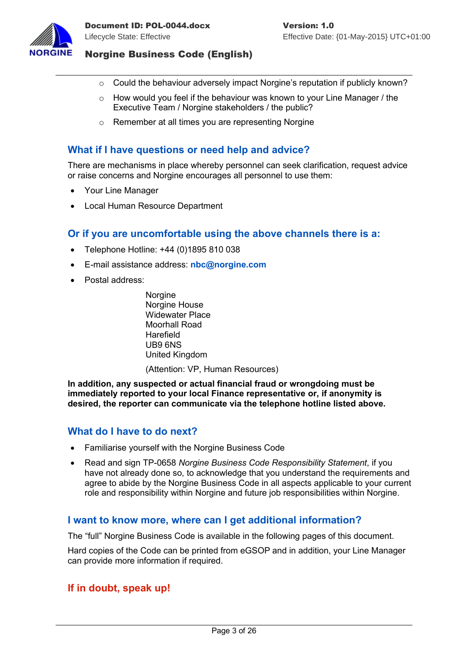

- $\circ$  Could the behaviour adversely impact Norgine's reputation if publicly known?
- o How would you feel if the behaviour was known to your Line Manager / the Executive Team / Norgine stakeholders / the public?
- o Remember at all times you are representing Norgine

# **What if I have questions or need help and advice?**

There are mechanisms in place whereby personnel can seek clarification, request advice or raise concerns and Norgine encourages all personnel to use them:

- Your Line Manager
- Local Human Resource Department

# **Or if you are uncomfortable using the above channels there is a:**

- Telephone Hotline: +44 (0)1895 810 038
- E-mail assistance address: **[nbc@norgine.com](mailto:nbc@norgine.com)**
- Postal address:

**Norgine** Norgine House Widewater Place Moorhall Road Harefield UB9 6NS United Kingdom (Attention: VP, Human Resources)

**In addition, any suspected or actual financial fraud or wrongdoing must be immediately reported to your local Finance representative or, if anonymity is desired, the reporter can communicate via the telephone hotline listed above.**

#### **What do I have to do next?**

- Familiarise yourself with the Norgine Business Code
- Read and sign TP-0658 *Norgine Business Code Responsibility Statement*, if you have not already done so, to acknowledge that you understand the requirements and agree to abide by the Norgine Business Code in all aspects applicable to your current role and responsibility within Norgine and future job responsibilities within Norgine.

# **I want to know more, where can I get additional information?**

The "full" Norgine Business Code is available in the following pages of this document.

Hard copies of the Code can be printed from eGSOP and in addition, your Line Manager can provide more information if required.

# **If in doubt, speak up!**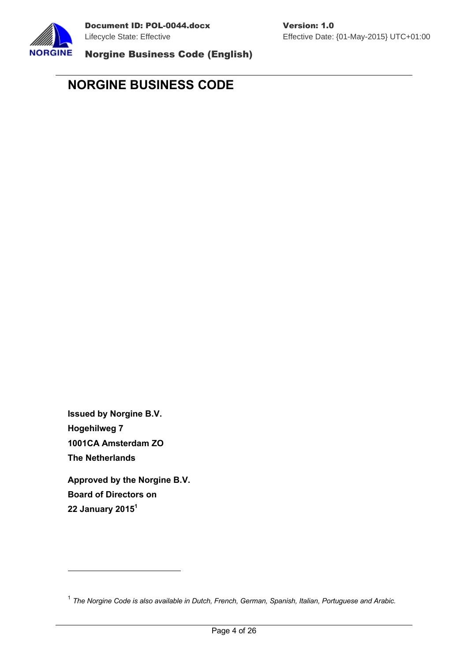

# **NORGINE BUSINESS CODE**

**Issued by Norgine B.V. Hogehilweg 7 1001CA Amsterdam ZO The Netherlands**

**Approved by the Norgine B.V. Board of Directors on 22 January 2015[1](#page-4-0)**

<span id="page-4-0"></span><sup>1</sup> *The Norgine Code is also available in Dutch, French, German, Spanish, Italian, Portuguese and Arabic.*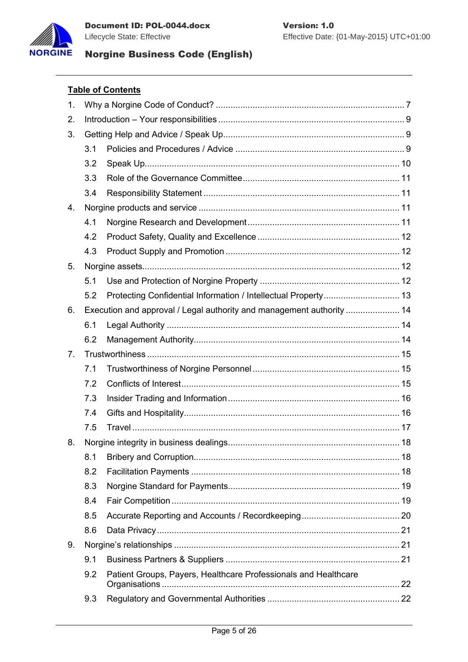



### **Table of Contents**

| $\mathbf 1$ .  |                                                                       |                                                                 |  |  |  |
|----------------|-----------------------------------------------------------------------|-----------------------------------------------------------------|--|--|--|
| 2.             |                                                                       |                                                                 |  |  |  |
| 3.             |                                                                       |                                                                 |  |  |  |
|                | 3.1                                                                   |                                                                 |  |  |  |
|                | 3.2                                                                   |                                                                 |  |  |  |
|                | 3.3                                                                   |                                                                 |  |  |  |
|                | 3.4                                                                   |                                                                 |  |  |  |
| 4.             |                                                                       |                                                                 |  |  |  |
|                | 4.1                                                                   |                                                                 |  |  |  |
|                | 4.2                                                                   |                                                                 |  |  |  |
|                | 4.3                                                                   |                                                                 |  |  |  |
| 5.             |                                                                       |                                                                 |  |  |  |
|                | 5.1                                                                   |                                                                 |  |  |  |
|                | 5.2                                                                   |                                                                 |  |  |  |
| 6.             | Execution and approval / Legal authority and management authority  14 |                                                                 |  |  |  |
|                | 6.1                                                                   |                                                                 |  |  |  |
|                | 6.2                                                                   |                                                                 |  |  |  |
| 7 <sub>1</sub> |                                                                       |                                                                 |  |  |  |
|                | 7.1                                                                   |                                                                 |  |  |  |
|                | 7.2                                                                   |                                                                 |  |  |  |
|                | 7.3                                                                   |                                                                 |  |  |  |
|                | 7.4                                                                   |                                                                 |  |  |  |
|                | 7.5                                                                   |                                                                 |  |  |  |
| 8.             |                                                                       |                                                                 |  |  |  |
|                | 8.1                                                                   |                                                                 |  |  |  |
|                | 8.2                                                                   |                                                                 |  |  |  |
|                | 8.3                                                                   |                                                                 |  |  |  |
|                | 8.4                                                                   |                                                                 |  |  |  |
|                | 8.5                                                                   |                                                                 |  |  |  |
|                | 8.6                                                                   |                                                                 |  |  |  |
| 9.             |                                                                       |                                                                 |  |  |  |
|                | 9.1                                                                   |                                                                 |  |  |  |
|                | 9.2                                                                   | Patient Groups, Payers, Healthcare Professionals and Healthcare |  |  |  |
|                | 9.3                                                                   |                                                                 |  |  |  |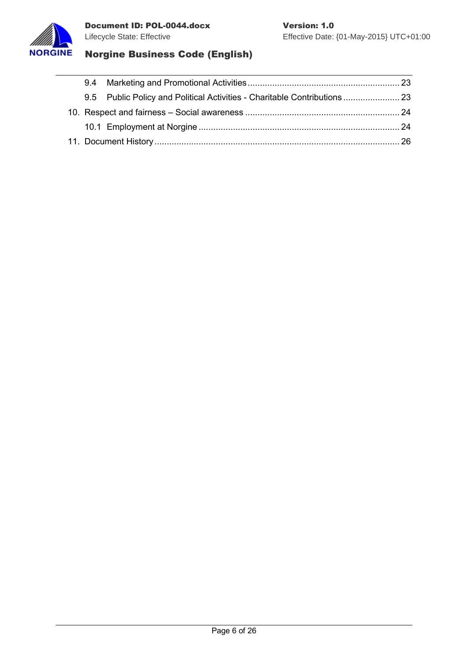



|  |  | 9.5 Public Policy and Political Activities - Charitable Contributions  23 |  |
|--|--|---------------------------------------------------------------------------|--|
|  |  |                                                                           |  |
|  |  |                                                                           |  |
|  |  |                                                                           |  |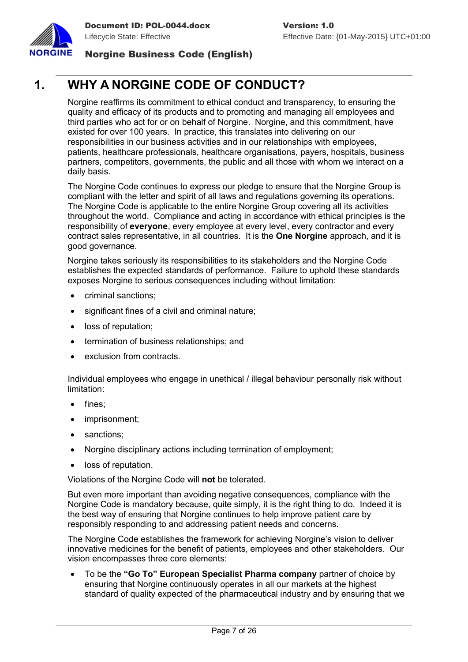

# <span id="page-7-0"></span>**1. WHY A NORGINE CODE OF CONDUCT?**

Norgine reaffirms its commitment to ethical conduct and transparency, to ensuring the quality and efficacy of its products and to promoting and managing all employees and third parties who act for or on behalf of Norgine. Norgine, and this commitment, have existed for over 100 years. In practice, this translates into delivering on our responsibilities in our business activities and in our relationships with employees, patients, healthcare professionals, healthcare organisations, payers, hospitals, business partners, competitors, governments, the public and all those with whom we interact on a daily basis.

The Norgine Code continues to express our pledge to ensure that the Norgine Group is compliant with the letter and spirit of all laws and regulations governing its operations. The Norgine Code is applicable to the entire Norgine Group covering all its activities throughout the world. Compliance and acting in accordance with ethical principles is the responsibility of **everyone**, every employee at every level, every contractor and every contract sales representative, in all countries. It is the **One Norgine** approach, and it is good governance.

Norgine takes seriously its responsibilities to its stakeholders and the Norgine Code establishes the expected standards of performance. Failure to uphold these standards exposes Norgine to serious consequences including without limitation:

- criminal sanctions:
- significant fines of a civil and criminal nature;
- loss of reputation;
- termination of business relationships; and
- exclusion from contracts.

Individual employees who engage in unethical / illegal behaviour personally risk without limitation:

- fines;
- imprisonment;
- sanctions;
- Norgine disciplinary actions including termination of employment;
- loss of reputation.

Violations of the Norgine Code will **not** be tolerated.

But even more important than avoiding negative consequences, compliance with the Norgine Code is mandatory because, quite simply, it is the right thing to do. Indeed it is the best way of ensuring that Norgine continues to help improve patient care by responsibly responding to and addressing patient needs and concerns.

The Norgine Code establishes the framework for achieving Norgine's vision to deliver innovative medicines for the benefit of patients, employees and other stakeholders. Our vision encompasses three core elements:

 To be the **"Go To" European Specialist Pharma company** partner of choice by ensuring that Norgine continuously operates in all our markets at the highest standard of quality expected of the pharmaceutical industry and by ensuring that we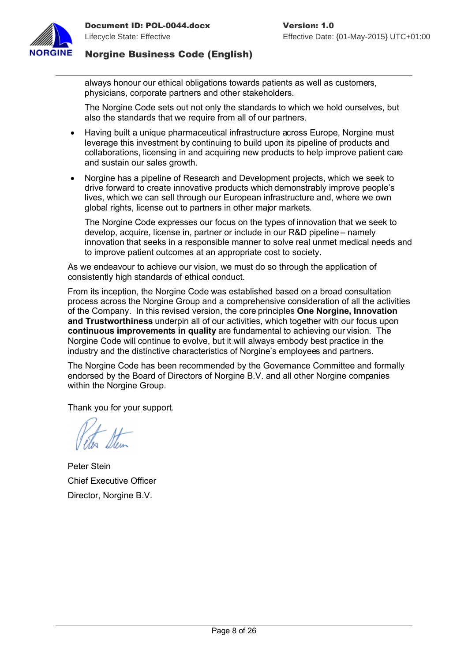

always honour our ethical obligations towards patients as well as customers, physicians, corporate partners and other stakeholders.

The Norgine Code sets out not only the standards to which we hold ourselves, but also the standards that we require from all of our partners.

- Having built a unique pharmaceutical infrastructure across Europe, Norgine must leverage this investment by continuing to build upon its pipeline of products and collaborations, licensing in and acquiring new products to help improve patient care and sustain our sales growth.
- Norgine has a pipeline of Research and Development projects, which we seek to drive forward to create innovative products which demonstrably improve people's lives, which we can sell through our European infrastructure and, where we own global rights, license out to partners in other major markets.

The Norgine Code expresses our focus on the types of innovation that we seek to develop, acquire, license in, partner or include in our R&D pipeline – namely innovation that seeks in a responsible manner to solve real unmet medical needs and to improve patient outcomes at an appropriate cost to society.

As we endeavour to achieve our vision, we must do so through the application of consistently high standards of ethical conduct.

From its inception, the Norgine Code was established based on a broad consultation process across the Norgine Group and a comprehensive consideration of all the activities of the Company. In this revised version, the core principles **One Norgine, Innovation and Trustworthiness** underpin all of our activities, which together with our focus upon **continuous improvements in quality** are fundamental to achieving our vision. The Norgine Code will continue to evolve, but it will always embody best practice in the industry and the distinctive characteristics of Norgine's employees and partners.

The Norgine Code has been recommended by the Governance Committee and formally endorsed by the Board of Directors of Norgine B.V. and all other Norgine companies within the Norgine Group.

Thank you for your support.

Peter Stein Chief Executive Officer Director, Norgine B.V.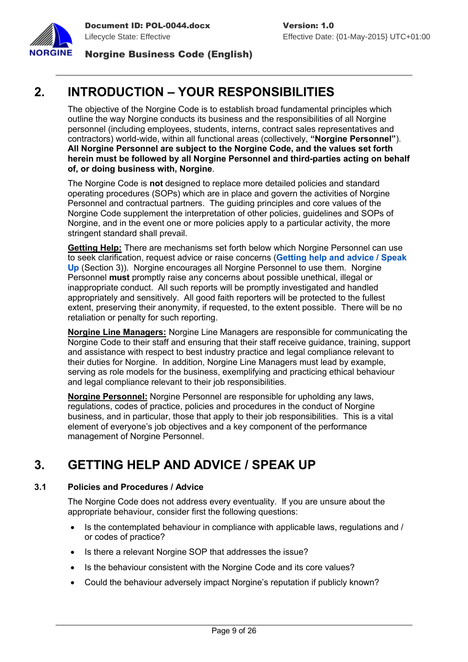



# <span id="page-9-2"></span>**2. INTRODUCTION – YOUR RESPONSIBILITIES**

The objective of the Norgine Code is to establish broad fundamental principles which outline the way Norgine conducts its business and the responsibilities of all Norgine personnel (including employees, students, interns, contract sales representatives and contractors) world-wide, within all functional areas (collectively, **"Norgine Personnel"**). **All Norgine Personnel are subject to the Norgine Code, and the values set forth herein must be followed by all Norgine Personnel and third-parties acting on behalf of, or doing business with, Norgine**.

The Norgine Code is **not** designed to replace more detailed policies and standard operating procedures (SOPs) which are in place and govern the activities of Norgine Personnel and contractual partners. The guiding principles and core values of the Norgine Code supplement the interpretation of other policies, guidelines and SOPs of Norgine, and in the event one or more policies apply to a particular activity, the more stringent standard shall prevail.

**Getting Help:** There are mechanisms set forth below which Norgine Personnel can use to seek clarification, request advice or raise concerns (**[Getting help and advice / Speak](#page-9-3)  [Up](#page-9-3)** (Section 3)). Norgine encourages all Norgine Personnel to use them. Norgine Personnel **must** promptly raise any concerns about possible unethical, illegal or inappropriate conduct. All such reports will be promptly investigated and handled appropriately and sensitively. All good faith reporters will be protected to the fullest extent, preserving their anonymity, if requested, to the extent possible. There will be no retaliation or penalty for such reporting.

**Norgine Line Managers:** Norgine Line Managers are responsible for communicating the Norgine Code to their staff and ensuring that their staff receive guidance, training, support and assistance with respect to best industry practice and legal compliance relevant to their duties for Norgine. In addition, Norgine Line Managers must lead by example, serving as role models for the business, exemplifying and practicing ethical behaviour and legal compliance relevant to their job responsibilities.

**Norgine Personnel:** Norgine Personnel are responsible for upholding any laws, regulations, codes of practice, policies and procedures in the conduct of Norgine business, and in particular, those that apply to their job responsibilities. This is a vital element of everyone's job objectives and a key component of the performance management of Norgine Personnel.

# <span id="page-9-3"></span><span id="page-9-1"></span>**3. GETTING HELP AND ADVICE / SPEAK UP**

# <span id="page-9-0"></span>**3.1 Policies and Procedures / Advice**

The Norgine Code does not address every eventuality. If you are unsure about the appropriate behaviour, consider first the following questions:

- Is the contemplated behaviour in compliance with applicable laws, regulations and / or codes of practice?
- Is there a relevant Norgine SOP that addresses the issue?
- Is the behaviour consistent with the Norgine Code and its core values?
- Could the behaviour adversely impact Norgine's reputation if publicly known?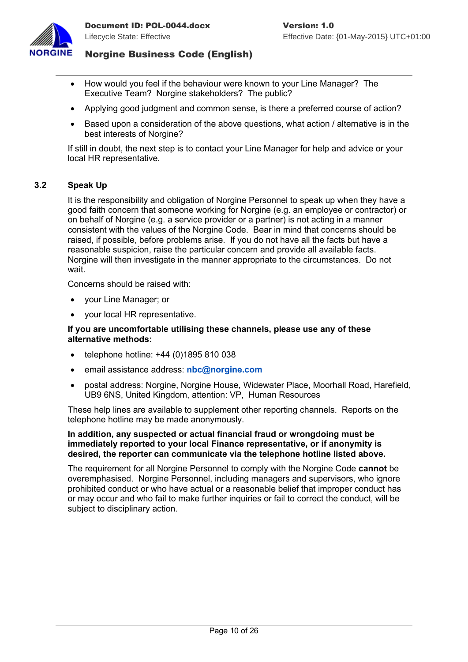

- How would you feel if the behaviour were known to your Line Manager? The Executive Team? Norgine stakeholders? The public?
- Applying good judgment and common sense, is there a preferred course of action?
- Based upon a consideration of the above questions, what action / alternative is in the best interests of Norgine?

If still in doubt, the next step is to contact your Line Manager for help and advice or your local HR representative.

#### <span id="page-10-0"></span>**3.2 Speak Up**

It is the responsibility and obligation of Norgine Personnel to speak up when they have a good faith concern that someone working for Norgine (e.g. an employee or contractor) or on behalf of Norgine (e.g. a service provider or a partner) is not acting in a manner consistent with the values of the Norgine Code. Bear in mind that concerns should be raised, if possible, before problems arise. If you do not have all the facts but have a reasonable suspicion, raise the particular concern and provide all available facts. Norgine will then investigate in the manner appropriate to the circumstances. Do not wait.

Concerns should be raised with:

- your Line Manager; or
- your local HR representative.

#### **If you are uncomfortable utilising these channels, please use any of these alternative methods:**

- telephone hotline:  $+44$  (0)1895 810 038
- email assistance address: **[nbc@norgine.com](mailto:nbc@norgine.com)**
- postal address: Norgine, Norgine House, Widewater Place, Moorhall Road, Harefield, UB9 6NS, United Kingdom, attention: VP, Human Resources

These help lines are available to supplement other reporting channels. Reports on the telephone hotline may be made anonymously.

#### **In addition, any suspected or actual financial fraud or wrongdoing must be immediately reported to your local Finance representative, or if anonymity is desired, the reporter can communicate via the telephone hotline listed above.**

The requirement for all Norgine Personnel to comply with the Norgine Code **cannot** be overemphasised. Norgine Personnel, including managers and supervisors, who ignore prohibited conduct or who have actual or a reasonable belief that improper conduct has or may occur and who fail to make further inquiries or fail to correct the conduct, will be subject to disciplinary action.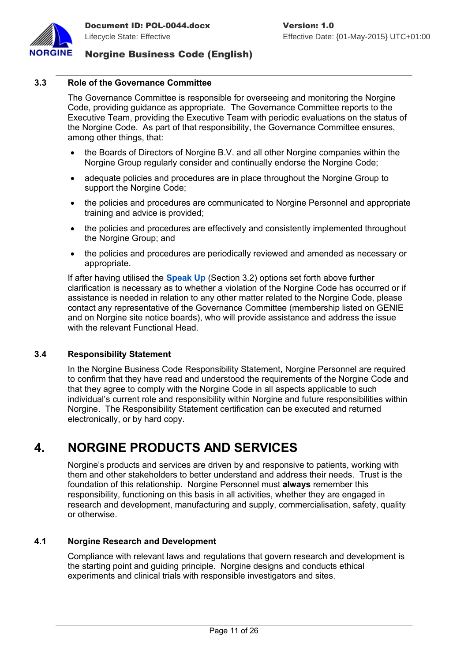

#### <span id="page-11-0"></span>**3.3 Role of the Governance Committee**

The Governance Committee is responsible for overseeing and monitoring the Norgine Code, providing guidance as appropriate. The Governance Committee reports to the Executive Team, providing the Executive Team with periodic evaluations on the status of the Norgine Code. As part of that responsibility, the Governance Committee ensures, among other things, that:

- the Boards of Directors of Norgine B.V. and all other Norgine companies within the Norgine Group regularly consider and continually endorse the Norgine Code;
- adequate policies and procedures are in place throughout the Norgine Group to support the Norgine Code;
- the policies and procedures are communicated to Norgine Personnel and appropriate training and advice is provided;
- the policies and procedures are effectively and consistently implemented throughout the Norgine Group; and
- the policies and procedures are periodically reviewed and amended as necessary or appropriate.

If after having utilised the **[Speak Up](#page-10-0)** (Section [3.2\)](#page-10-0) options set forth above further clarification is necessary as to whether a violation of the Norgine Code has occurred or if assistance is needed in relation to any other matter related to the Norgine Code, please contact any representative of the Governance Committee (membership listed on GENIE and on Norgine site notice boards), who will provide assistance and address the issue with the relevant Functional Head.

#### <span id="page-11-3"></span>**3.4 Responsibility Statement**

In the Norgine Business Code Responsibility Statement, Norgine Personnel are required to confirm that they have read and understood the requirements of the Norgine Code and that they agree to comply with the Norgine Code in all aspects applicable to such individual's current role and responsibility within Norgine and future responsibilities within Norgine. The Responsibility Statement certification can be executed and returned electronically, or by hard copy.

# <span id="page-11-2"></span>**4. NORGINE PRODUCTS AND SERVICES**

Norgine's products and services are driven by and responsive to patients, working with them and other stakeholders to better understand and address their needs. Trust is the foundation of this relationship. Norgine Personnel must **always** remember this responsibility, functioning on this basis in all activities, whether they are engaged in research and development, manufacturing and supply, commercialisation, safety, quality or otherwise.

#### <span id="page-11-1"></span>**4.1 Norgine Research and Development**

Compliance with relevant laws and regulations that govern research and development is the starting point and guiding principle. Norgine designs and conducts ethical experiments and clinical trials with responsible investigators and sites.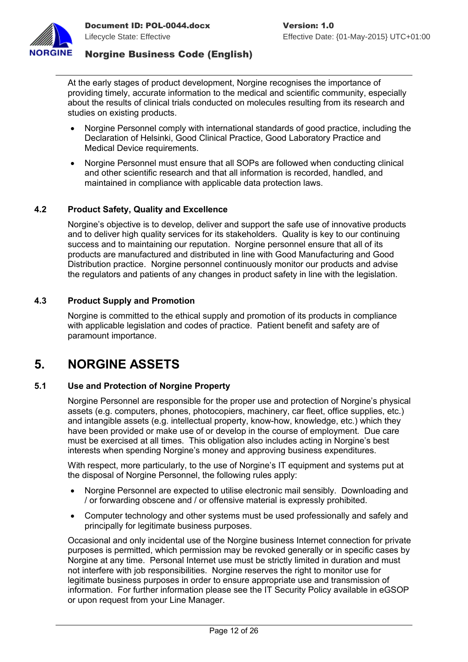

At the early stages of product development, Norgine recognises the importance of providing timely, accurate information to the medical and scientific community, especially about the results of clinical trials conducted on molecules resulting from its research and studies on existing products.

- Norgine Personnel comply with international standards of good practice, including the Declaration of Helsinki, Good Clinical Practice, Good Laboratory Practice and Medical Device requirements.
- Norgine Personnel must ensure that all SOPs are followed when conducting clinical and other scientific research and that all information is recorded, handled, and maintained in compliance with applicable data protection laws.

# <span id="page-12-3"></span>**4.2 Product Safety, Quality and Excellence**

Norgine's objective is to develop, deliver and support the safe use of innovative products and to deliver high quality services for its stakeholders. Quality is key to our continuing success and to maintaining our reputation. Norgine personnel ensure that all of its products are manufactured and distributed in line with Good Manufacturing and Good Distribution practice. Norgine personnel continuously monitor our products and advise the regulators and patients of any changes in product safety in line with the legislation.

#### <span id="page-12-2"></span>**4.3 Product Supply and Promotion**

Norgine is committed to the ethical supply and promotion of its products in compliance with applicable legislation and codes of practice. Patient benefit and safety are of paramount importance.

# <span id="page-12-1"></span>**5. NORGINE ASSETS**

#### <span id="page-12-0"></span>**5.1 Use and Protection of Norgine Property**

Norgine Personnel are responsible for the proper use and protection of Norgine's physical assets (e.g. computers, phones, photocopiers, machinery, car fleet, office supplies, etc.) and intangible assets (e.g. intellectual property, know-how, knowledge, etc.) which they have been provided or make use of or develop in the course of employment. Due care must be exercised at all times. This obligation also includes acting in Norgine's best interests when spending Norgine's money and approving business expenditures.

With respect, more particularly, to the use of Norgine's IT equipment and systems put at the disposal of Norgine Personnel, the following rules apply:

- Norgine Personnel are expected to utilise electronic mail sensibly. Downloading and / or forwarding obscene and / or offensive material is expressly prohibited.
- Computer technology and other systems must be used professionally and safely and principally for legitimate business purposes.

Occasional and only incidental use of the Norgine business Internet connection for private purposes is permitted, which permission may be revoked generally or in specific cases by Norgine at any time. Personal Internet use must be strictly limited in duration and must not interfere with job responsibilities. Norgine reserves the right to monitor use for legitimate business purposes in order to ensure appropriate use and transmission of information. For further information please see the IT Security Policy available in eGSOP or upon request from your Line Manager.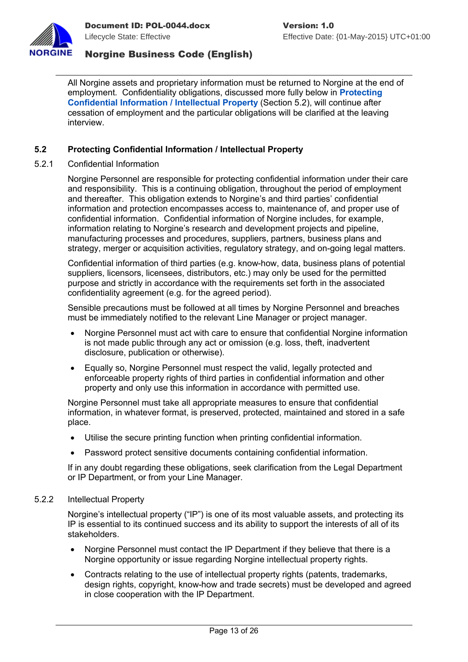

All Norgine assets and proprietary information must be returned to Norgine at the end of employment. Confidentiality obligations, discussed more fully below in **[Protecting](#page-13-0)  [Confidential Information / Intellectual Property](#page-13-0)** (Section [5.2\)](#page-13-0), will continue after cessation of employment and the particular obligations will be clarified at the leaving interview.

#### <span id="page-13-0"></span>**5.2 Protecting Confidential Information / Intellectual Property**

5.2.1 Confidential Information

Norgine Personnel are responsible for protecting confidential information under their care and responsibility. This is a continuing obligation, throughout the period of employment and thereafter. This obligation extends to Norgine's and third parties' confidential information and protection encompasses access to, maintenance of, and proper use of confidential information. Confidential information of Norgine includes, for example, information relating to Norgine's research and development projects and pipeline, manufacturing processes and procedures, suppliers, partners, business plans and strategy, merger or acquisition activities, regulatory strategy, and on-going legal matters.

Confidential information of third parties (e.g. know-how, data, business plans of potential suppliers, licensors, licensees, distributors, etc.) may only be used for the permitted purpose and strictly in accordance with the requirements set forth in the associated confidentiality agreement (e.g. for the agreed period).

Sensible precautions must be followed at all times by Norgine Personnel and breaches must be immediately notified to the relevant Line Manager or project manager.

- Norgine Personnel must act with care to ensure that confidential Norgine information is not made public through any act or omission (e.g. loss, theft, inadvertent disclosure, publication or otherwise).
- Equally so, Norgine Personnel must respect the valid, legally protected and enforceable property rights of third parties in confidential information and other property and only use this information in accordance with permitted use.

Norgine Personnel must take all appropriate measures to ensure that confidential information, in whatever format, is preserved, protected, maintained and stored in a safe place.

- Utilise the secure printing function when printing confidential information.
- Password protect sensitive documents containing confidential information.

If in any doubt regarding these obligations, seek clarification from the Legal Department or IP Department, or from your Line Manager.

#### 5.2.2 Intellectual Property

Norgine's intellectual property ("IP") is one of its most valuable assets, and protecting its IP is essential to its continued success and its ability to support the interests of all of its stakeholders.

- Norgine Personnel must contact the IP Department if they believe that there is a Norgine opportunity or issue regarding Norgine intellectual property rights.
- Contracts relating to the use of intellectual property rights (patents, trademarks, design rights, copyright, know-how and trade secrets) must be developed and agreed in close cooperation with the IP Department.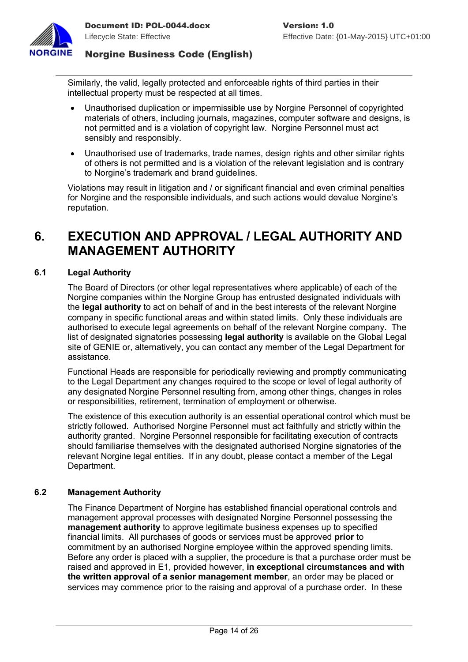

Similarly, the valid, legally protected and enforceable rights of third parties in their intellectual property must be respected at all times.

- Unauthorised duplication or impermissible use by Norgine Personnel of copyrighted materials of others, including journals, magazines, computer software and designs, is not permitted and is a violation of copyright law. Norgine Personnel must act sensibly and responsibly.
- Unauthorised use of trademarks, trade names, design rights and other similar rights of others is not permitted and is a violation of the relevant legislation and is contrary to Norgine's trademark and brand guidelines.

Violations may result in litigation and / or significant financial and even criminal penalties for Norgine and the responsible individuals, and such actions would devalue Norgine's reputation.

# <span id="page-14-2"></span>**6. EXECUTION AND APPROVAL / LEGAL AUTHORITY AND MANAGEMENT AUTHORITY**

#### <span id="page-14-1"></span>**6.1 Legal Authority**

The Board of Directors (or other legal representatives where applicable) of each of the Norgine companies within the Norgine Group has entrusted designated individuals with the **legal authority** to act on behalf of and in the best interests of the relevant Norgine company in specific functional areas and within stated limits. Only these individuals are authorised to execute legal agreements on behalf of the relevant Norgine company. The list of designated signatories possessing **legal authority** is available on the Global Legal site of GENIE or, alternatively, you can contact any member of the Legal Department for assistance.

Functional Heads are responsible for periodically reviewing and promptly communicating to the Legal Department any changes required to the scope or level of legal authority of any designated Norgine Personnel resulting from, among other things, changes in roles or responsibilities, retirement, termination of employment or otherwise.

The existence of this execution authority is an essential operational control which must be strictly followed. Authorised Norgine Personnel must act faithfully and strictly within the authority granted. Norgine Personnel responsible for facilitating execution of contracts should familiarise themselves with the designated authorised Norgine signatories of the relevant Norgine legal entities. If in any doubt, please contact a member of the Legal Department.

#### <span id="page-14-0"></span>**6.2 Management Authority**

The Finance Department of Norgine has established financial operational controls and management approval processes with designated Norgine Personnel possessing the **management authority** to approve legitimate business expenses up to specified financial limits. All purchases of goods or services must be approved **prior** to commitment by an authorised Norgine employee within the approved spending limits. Before any order is placed with a supplier, the procedure is that a purchase order must be raised and approved in E1, provided however, **in exceptional circumstances and with the written approval of a senior management member**, an order may be placed or services may commence prior to the raising and approval of a purchase order. In these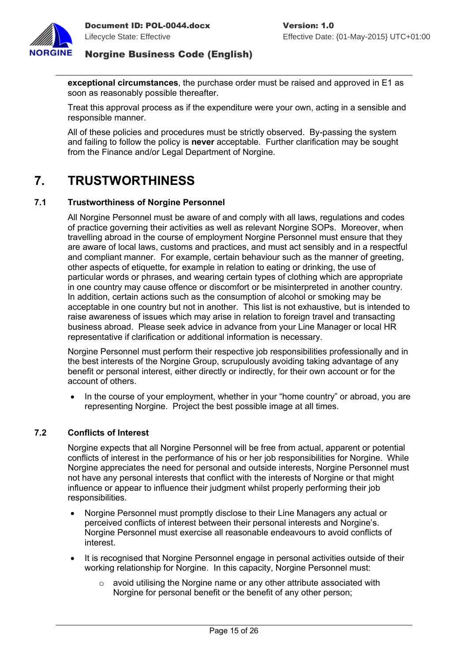

**exceptional circumstances**, the purchase order must be raised and approved in E1 as soon as reasonably possible thereafter.

Treat this approval process as if the expenditure were your own, acting in a sensible and responsible manner.

All of these policies and procedures must be strictly observed. By-passing the system and failing to follow the policy is **never** acceptable. Further clarification may be sought from the Finance and/or Legal Department of Norgine.

# <span id="page-15-2"></span>**7. TRUSTWORTHINESS**

### <span id="page-15-1"></span>**7.1 Trustworthiness of Norgine Personnel**

All Norgine Personnel must be aware of and comply with all laws, regulations and codes of practice governing their activities as well as relevant Norgine SOPs. Moreover, when travelling abroad in the course of employment Norgine Personnel must ensure that they are aware of local laws, customs and practices, and must act sensibly and in a respectful and compliant manner. For example, certain behaviour such as the manner of greeting, other aspects of etiquette, for example in relation to eating or drinking, the use of particular words or phrases, and wearing certain types of clothing which are appropriate in one country may cause offence or discomfort or be misinterpreted in another country. In addition, certain actions such as the consumption of alcohol or smoking may be acceptable in one country but not in another. This list is not exhaustive, but is intended to raise awareness of issues which may arise in relation to foreign travel and transacting business abroad. Please seek advice in advance from your Line Manager or local HR representative if clarification or additional information is necessary.

Norgine Personnel must perform their respective job responsibilities professionally and in the best interests of the Norgine Group, scrupulously avoiding taking advantage of any benefit or personal interest, either directly or indirectly, for their own account or for the account of others.

 In the course of your employment, whether in your "home country" or abroad, you are representing Norgine. Project the best possible image at all times.

### <span id="page-15-0"></span>**7.2 Conflicts of Interest**

Norgine expects that all Norgine Personnel will be free from actual, apparent or potential conflicts of interest in the performance of his or her job responsibilities for Norgine. While Norgine appreciates the need for personal and outside interests, Norgine Personnel must not have any personal interests that conflict with the interests of Norgine or that might influence or appear to influence their judgment whilst properly performing their job responsibilities.

- Norgine Personnel must promptly disclose to their Line Managers any actual or perceived conflicts of interest between their personal interests and Norgine's. Norgine Personnel must exercise all reasonable endeavours to avoid conflicts of interest.
- It is recognised that Norgine Personnel engage in personal activities outside of their working relationship for Norgine. In this capacity, Norgine Personnel must:
	- $\circ$  avoid utilising the Norgine name or any other attribute associated with Norgine for personal benefit or the benefit of any other person;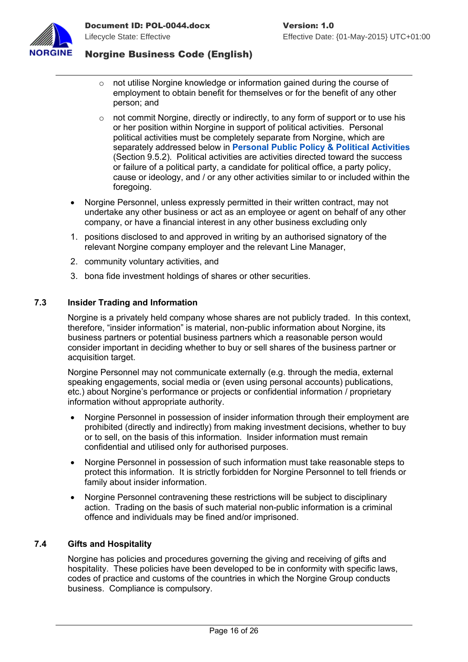

- $\circ$  not utilise Norgine knowledge or information gained during the course of employment to obtain benefit for themselves or for the benefit of any other person; and
- $\circ$  not commit Norgine, directly or indirectly, to any form of support or to use his or her position within Norgine in support of political activities. Personal political activities must be completely separate from Norgine, which are separately addressed below in **[Personal Public Policy & Political Activities](#page-24-2)** (Section [9.5.2\)](#page-24-2). Political activities are activities directed toward the success or failure of a political party, a candidate for political office, a party policy, cause or ideology, and / or any other activities similar to or included within the foregoing.
- Norgine Personnel, unless expressly permitted in their written contract, may not undertake any other business or act as an employee or agent on behalf of any other company, or have a financial interest in any other business excluding only
- 1. positions disclosed to and approved in writing by an authorised signatory of the relevant Norgine company employer and the relevant Line Manager,
- 2. community voluntary activities, and
- 3. bona fide investment holdings of shares or other securities.

#### <span id="page-16-1"></span>**7.3 Insider Trading and Information**

Norgine is a privately held company whose shares are not publicly traded. In this context, therefore, "insider information" is material, non-public information about Norgine, its business partners or potential business partners which a reasonable person would consider important in deciding whether to buy or sell shares of the business partner or acquisition target.

Norgine Personnel may not communicate externally (e.g. through the media, external speaking engagements, social media or (even using personal accounts) publications, etc.) about Norgine's performance or projects or confidential information / proprietary information without appropriate authority.

- Norgine Personnel in possession of insider information through their employment are prohibited (directly and indirectly) from making investment decisions, whether to buy or to sell, on the basis of this information. Insider information must remain confidential and utilised only for authorised purposes.
- Norgine Personnel in possession of such information must take reasonable steps to protect this information. It is strictly forbidden for Norgine Personnel to tell friends or family about insider information.
- Norgine Personnel contravening these restrictions will be subject to disciplinary action. Trading on the basis of such material non-public information is a criminal offence and individuals may be fined and/or imprisoned.

#### <span id="page-16-0"></span>**7.4 Gifts and Hospitality**

Norgine has policies and procedures governing the giving and receiving of gifts and hospitality. These policies have been developed to be in conformity with specific laws, codes of practice and customs of the countries in which the Norgine Group conducts business. Compliance is compulsory.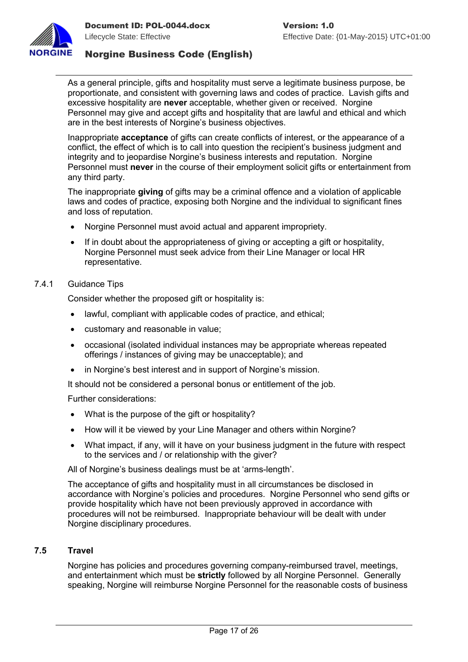

As a general principle, gifts and hospitality must serve a legitimate business purpose, be proportionate, and consistent with governing laws and codes of practice. Lavish gifts and excessive hospitality are **never** acceptable, whether given or received. Norgine Personnel may give and accept gifts and hospitality that are lawful and ethical and which are in the best interests of Norgine's business objectives.

Inappropriate **acceptance** of gifts can create conflicts of interest, or the appearance of a conflict, the effect of which is to call into question the recipient's business judgment and integrity and to jeopardise Norgine's business interests and reputation. Norgine Personnel must **never** in the course of their employment solicit gifts or entertainment from any third party.

The inappropriate **giving** of gifts may be a criminal offence and a violation of applicable laws and codes of practice, exposing both Norgine and the individual to significant fines and loss of reputation.

- Norgine Personnel must avoid actual and apparent impropriety.
- If in doubt about the appropriateness of giving or accepting a gift or hospitality, Norgine Personnel must seek advice from their Line Manager or local HR representative.

#### 7.4.1 Guidance Tips

Consider whether the proposed gift or hospitality is:

- lawful, compliant with applicable codes of practice, and ethical;
- customary and reasonable in value;
- occasional (isolated individual instances may be appropriate whereas repeated offerings / instances of giving may be unacceptable); and
- in Norgine's best interest and in support of Norgine's mission.

It should not be considered a personal bonus or entitlement of the job.

Further considerations:

- What is the purpose of the gift or hospitality?
- How will it be viewed by your Line Manager and others within Norgine?
- What impact, if any, will it have on your business judgment in the future with respect to the services and / or relationship with the giver?

All of Norgine's business dealings must be at 'arms-length'.

The acceptance of gifts and hospitality must in all circumstances be disclosed in accordance with Norgine's policies and procedures. Norgine Personnel who send gifts or provide hospitality which have not been previously approved in accordance with procedures will not be reimbursed. Inappropriate behaviour will be dealt with under Norgine disciplinary procedures.

#### <span id="page-17-0"></span>**7.5 Travel**

Norgine has policies and procedures governing company-reimbursed travel, meetings, and entertainment which must be **strictly** followed by all Norgine Personnel. Generally speaking, Norgine will reimburse Norgine Personnel for the reasonable costs of business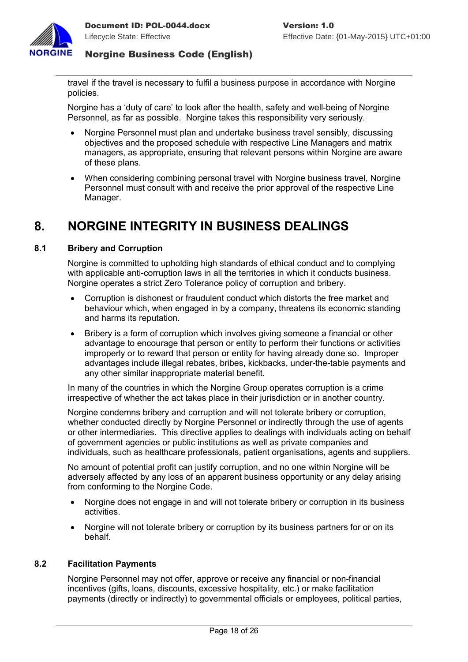

travel if the travel is necessary to fulfil a business purpose in accordance with Norgine policies.

Norgine has a 'duty of care' to look after the health, safety and well-being of Norgine Personnel, as far as possible. Norgine takes this responsibility very seriously.

- Norgine Personnel must plan and undertake business travel sensibly, discussing objectives and the proposed schedule with respective Line Managers and matrix managers, as appropriate, ensuring that relevant persons within Norgine are aware of these plans.
- When considering combining personal travel with Norgine business travel, Norgine Personnel must consult with and receive the prior approval of the respective Line Manager.

# <span id="page-18-2"></span>**8. NORGINE INTEGRITY IN BUSINESS DEALINGS**

#### <span id="page-18-1"></span>**8.1 Bribery and Corruption**

Norgine is committed to upholding high standards of ethical conduct and to complying with applicable anti-corruption laws in all the territories in which it conducts business. Norgine operates a strict Zero Tolerance policy of corruption and bribery.

- Corruption is dishonest or fraudulent conduct which distorts the free market and behaviour which, when engaged in by a company, threatens its economic standing and harms its reputation.
- Bribery is a form of corruption which involves giving someone a financial or other advantage to encourage that person or entity to perform their functions or activities improperly or to reward that person or entity for having already done so. Improper advantages include illegal rebates, bribes, kickbacks, under-the-table payments and any other similar inappropriate material benefit.

In many of the countries in which the Norgine Group operates corruption is a crime irrespective of whether the act takes place in their jurisdiction or in another country.

Norgine condemns bribery and corruption and will not tolerate bribery or corruption, whether conducted directly by Norgine Personnel or indirectly through the use of agents or other intermediaries. This directive applies to dealings with individuals acting on behalf of government agencies or public institutions as well as private companies and individuals, such as healthcare professionals, patient organisations, agents and suppliers.

No amount of potential profit can justify corruption, and no one within Norgine will be adversely affected by any loss of an apparent business opportunity or any delay arising from conforming to the Norgine Code.

- Norgine does not engage in and will not tolerate bribery or corruption in its business activities.
- Norgine will not tolerate bribery or corruption by its business partners for or on its behalf.

#### <span id="page-18-0"></span>**8.2 Facilitation Payments**

Norgine Personnel may not offer, approve or receive any financial or non-financial incentives (gifts, loans, discounts, excessive hospitality, etc.) or make facilitation payments (directly or indirectly) to governmental officials or employees, political parties,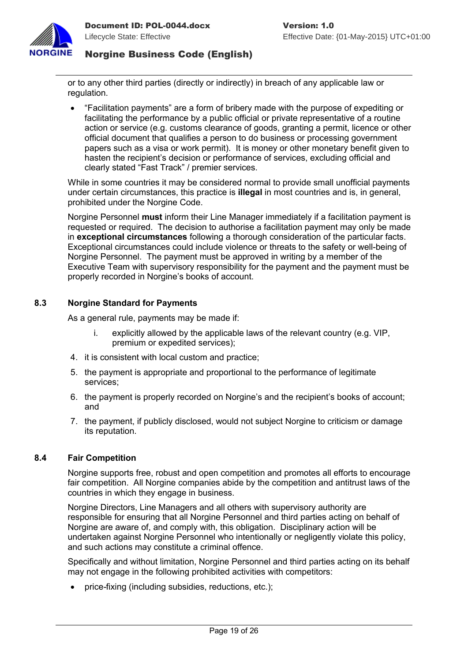

or to any other third parties (directly or indirectly) in breach of any applicable law or regulation.

 "Facilitation payments" are a form of bribery made with the purpose of expediting or facilitating the performance by a public official or private representative of a routine action or service (e.g. customs clearance of goods, granting a permit, licence or other official document that qualifies a person to do business or processing government papers such as a visa or work permit). It is money or other monetary benefit given to hasten the recipient's decision or performance of services, excluding official and clearly stated "Fast Track" / premier services.

While in some countries it may be considered normal to provide small unofficial payments under certain circumstances, this practice is **illegal** in most countries and is, in general, prohibited under the Norgine Code.

Norgine Personnel **must** inform their Line Manager immediately if a facilitation payment is requested or required. The decision to authorise a facilitation payment may only be made in **exceptional circumstances** following a thorough consideration of the particular facts. Exceptional circumstances could include violence or threats to the safety or well-being of Norgine Personnel. The payment must be approved in writing by a member of the Executive Team with supervisory responsibility for the payment and the payment must be properly recorded in Norgine's books of account.

#### <span id="page-19-1"></span>**8.3 Norgine Standard for Payments**

As a general rule, payments may be made if:

- i. explicitly allowed by the applicable laws of the relevant country (e.g. VIP, premium or expedited services);
- 4. it is consistent with local custom and practice;
- 5. the payment is appropriate and proportional to the performance of legitimate services;
- 6. the payment is properly recorded on Norgine's and the recipient's books of account; and
- 7. the payment, if publicly disclosed, would not subject Norgine to criticism or damage its reputation.

#### <span id="page-19-0"></span>**8.4 Fair Competition**

Norgine supports free, robust and open competition and promotes all efforts to encourage fair competition. All Norgine companies abide by the competition and antitrust laws of the countries in which they engage in business.

Norgine Directors, Line Managers and all others with supervisory authority are responsible for ensuring that all Norgine Personnel and third parties acting on behalf of Norgine are aware of, and comply with, this obligation. Disciplinary action will be undertaken against Norgine Personnel who intentionally or negligently violate this policy, and such actions may constitute a criminal offence.

Specifically and without limitation, Norgine Personnel and third parties acting on its behalf may not engage in the following prohibited activities with competitors:

price-fixing (including subsidies, reductions, etc.);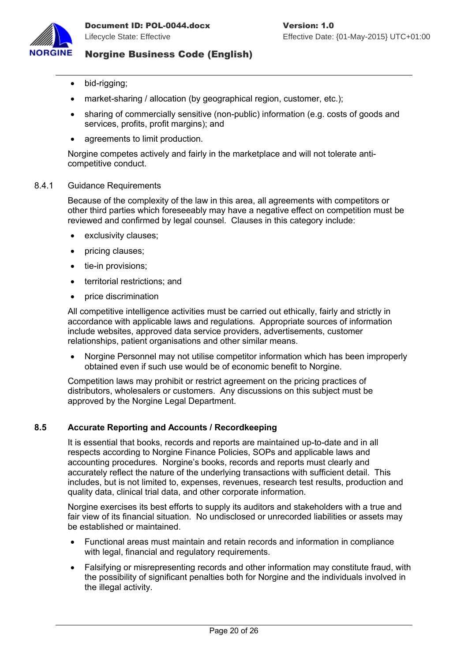

- bid-rigging;
- market-sharing / allocation (by geographical region, customer, etc.);
- sharing of commercially sensitive (non-public) information (e.g. costs of goods and services, profits, profit margins); and
- agreements to limit production.

Norgine competes actively and fairly in the marketplace and will not tolerate anticompetitive conduct.

#### 8.4.1 Guidance Requirements

Because of the complexity of the law in this area, all agreements with competitors or other third parties which foreseeably may have a negative effect on competition must be reviewed and confirmed by legal counsel. Clauses in this category include:

- exclusivity clauses;
- pricing clauses;
- tie-in provisions:
- territorial restrictions; and
- price discrimination

All competitive intelligence activities must be carried out ethically, fairly and strictly in accordance with applicable laws and regulations. Appropriate sources of information include websites, approved data service providers, advertisements, customer relationships, patient organisations and other similar means.

• Norgine Personnel may not utilise competitor information which has been improperly obtained even if such use would be of economic benefit to Norgine.

Competition laws may prohibit or restrict agreement on the pricing practices of distributors, wholesalers or customers. Any discussions on this subject must be approved by the Norgine Legal Department.

#### <span id="page-20-0"></span>**8.5 Accurate Reporting and Accounts / Recordkeeping**

It is essential that books, records and reports are maintained up-to-date and in all respects according to Norgine Finance Policies, SOPs and applicable laws and accounting procedures. Norgine's books, records and reports must clearly and accurately reflect the nature of the underlying transactions with sufficient detail. This includes, but is not limited to, expenses, revenues, research test results, production and quality data, clinical trial data, and other corporate information.

Norgine exercises its best efforts to supply its auditors and stakeholders with a true and fair view of its financial situation. No undisclosed or unrecorded liabilities or assets may be established or maintained.

- Functional areas must maintain and retain records and information in compliance with legal, financial and regulatory requirements.
- Falsifying or misrepresenting records and other information may constitute fraud, with the possibility of significant penalties both for Norgine and the individuals involved in the illegal activity.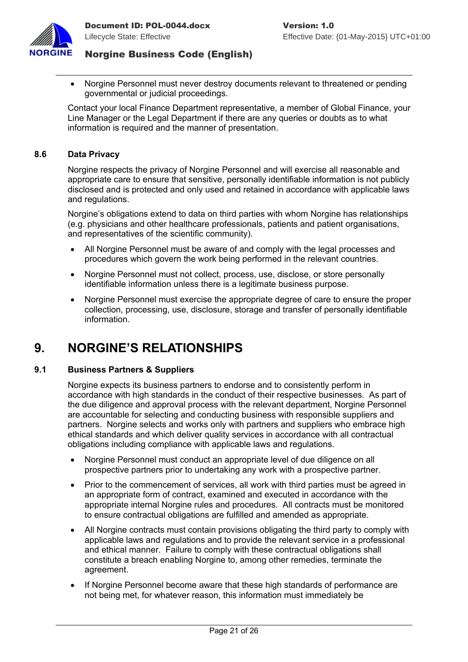

 Norgine Personnel must never destroy documents relevant to threatened or pending governmental or judicial proceedings.

Contact your local Finance Department representative, a member of Global Finance, your Line Manager or the Legal Department if there are any queries or doubts as to what information is required and the manner of presentation.

#### <span id="page-21-2"></span>**8.6 Data Privacy**

Norgine respects the privacy of Norgine Personnel and will exercise all reasonable and appropriate care to ensure that sensitive, personally identifiable information is not publicly disclosed and is protected and only used and retained in accordance with applicable laws and regulations.

Norgine's obligations extend to data on third parties with whom Norgine has relationships (e.g. physicians and other healthcare professionals, patients and patient organisations, and representatives of the scientific community).

- All Norgine Personnel must be aware of and comply with the legal processes and procedures which govern the work being performed in the relevant countries.
- Norgine Personnel must not collect, process, use, disclose, or store personally identifiable information unless there is a legitimate business purpose.
- Norgine Personnel must exercise the appropriate degree of care to ensure the proper collection, processing, use, disclosure, storage and transfer of personally identifiable information.

# <span id="page-21-1"></span>**9. NORGINE'S RELATIONSHIPS**

#### <span id="page-21-0"></span>**9.1 Business Partners & Suppliers**

Norgine expects its business partners to endorse and to consistently perform in accordance with high standards in the conduct of their respective businesses. As part of the due diligence and approval process with the relevant department, Norgine Personnel are accountable for selecting and conducting business with responsible suppliers and partners. Norgine selects and works only with partners and suppliers who embrace high ethical standards and which deliver quality services in accordance with all contractual obligations including compliance with applicable laws and regulations.

- Norgine Personnel must conduct an appropriate level of due diligence on all prospective partners prior to undertaking any work with a prospective partner.
- Prior to the commencement of services, all work with third parties must be agreed in an appropriate form of contract, examined and executed in accordance with the appropriate internal Norgine rules and procedures. All contracts must be monitored to ensure contractual obligations are fulfilled and amended as appropriate.
- All Norgine contracts must contain provisions obligating the third party to comply with applicable laws and regulations and to provide the relevant service in a professional and ethical manner. Failure to comply with these contractual obligations shall constitute a breach enabling Norgine to, among other remedies, terminate the agreement.
- If Norgine Personnel become aware that these high standards of performance are not being met, for whatever reason, this information must immediately be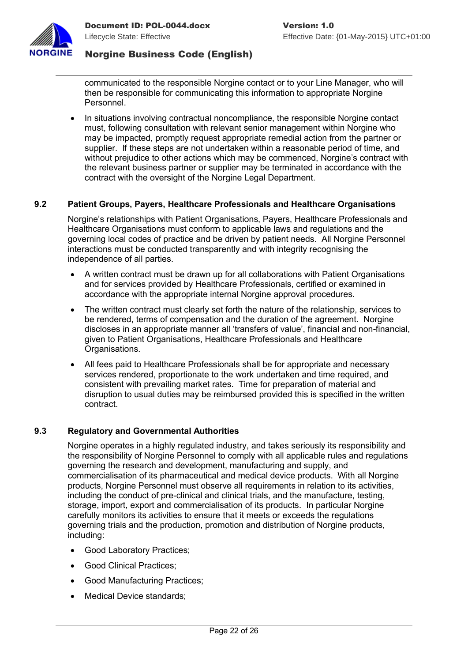

communicated to the responsible Norgine contact or to your Line Manager, who will then be responsible for communicating this information to appropriate Norgine Personnel.

 In situations involving contractual noncompliance, the responsible Norgine contact must, following consultation with relevant senior management within Norgine who may be impacted, promptly request appropriate remedial action from the partner or supplier. If these steps are not undertaken within a reasonable period of time, and without prejudice to other actions which may be commenced, Norgine's contract with the relevant business partner or supplier may be terminated in accordance with the contract with the oversight of the Norgine Legal Department.

### <span id="page-22-1"></span>**9.2 Patient Groups, Payers, Healthcare Professionals and Healthcare Organisations**

Norgine's relationships with Patient Organisations, Payers, Healthcare Professionals and Healthcare Organisations must conform to applicable laws and regulations and the governing local codes of practice and be driven by patient needs. All Norgine Personnel interactions must be conducted transparently and with integrity recognising the independence of all parties.

- A written contract must be drawn up for all collaborations with Patient Organisations and for services provided by Healthcare Professionals, certified or examined in accordance with the appropriate internal Norgine approval procedures.
- The written contract must clearly set forth the nature of the relationship, services to be rendered, terms of compensation and the duration of the agreement. Norgine discloses in an appropriate manner all 'transfers of value', financial and non-financial, given to Patient Organisations, Healthcare Professionals and Healthcare Organisations.
- All fees paid to Healthcare Professionals shall be for appropriate and necessary services rendered, proportionate to the work undertaken and time required, and consistent with prevailing market rates. Time for preparation of material and disruption to usual duties may be reimbursed provided this is specified in the written contract.

#### <span id="page-22-0"></span>**9.3 Regulatory and Governmental Authorities**

Norgine operates in a highly regulated industry, and takes seriously its responsibility and the responsibility of Norgine Personnel to comply with all applicable rules and regulations governing the research and development, manufacturing and supply, and commercialisation of its pharmaceutical and medical device products. With all Norgine products, Norgine Personnel must observe all requirements in relation to its activities, including the conduct of pre-clinical and clinical trials, and the manufacture, testing, storage, import, export and commercialisation of its products. In particular Norgine carefully monitors its activities to ensure that it meets or exceeds the regulations governing trials and the production, promotion and distribution of Norgine products, including:

- Good Laboratory Practices;
- Good Clinical Practices:
- Good Manufacturing Practices:
- Medical Device standards: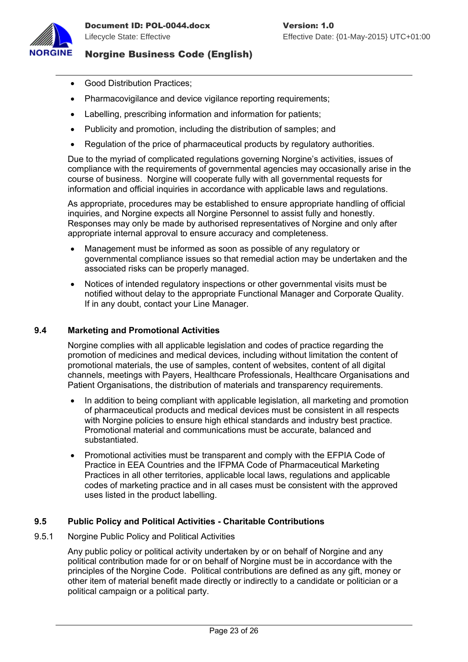

- Good Distribution Practices:
- Pharmacovigilance and device vigilance reporting requirements;
- Labelling, prescribing information and information for patients;
- Publicity and promotion, including the distribution of samples; and
- Regulation of the price of pharmaceutical products by regulatory authorities.

Due to the myriad of complicated regulations governing Norgine's activities, issues of compliance with the requirements of governmental agencies may occasionally arise in the course of business. Norgine will cooperate fully with all governmental requests for information and official inquiries in accordance with applicable laws and regulations.

As appropriate, procedures may be established to ensure appropriate handling of official inquiries, and Norgine expects all Norgine Personnel to assist fully and honestly. Responses may only be made by authorised representatives of Norgine and only after appropriate internal approval to ensure accuracy and completeness.

- Management must be informed as soon as possible of any regulatory or governmental compliance issues so that remedial action may be undertaken and the associated risks can be properly managed.
- Notices of intended regulatory inspections or other governmental visits must be notified without delay to the appropriate Functional Manager and Corporate Quality. If in any doubt, contact your Line Manager.

#### <span id="page-23-1"></span>**9.4 Marketing and Promotional Activities**

Norgine complies with all applicable legislation and codes of practice regarding the promotion of medicines and medical devices, including without limitation the content of promotional materials, the use of samples, content of websites, content of all digital channels, meetings with Payers, Healthcare Professionals, Healthcare Organisations and Patient Organisations, the distribution of materials and transparency requirements.

- In addition to being compliant with applicable legislation, all marketing and promotion of pharmaceutical products and medical devices must be consistent in all respects with Norgine policies to ensure high ethical standards and industry best practice. Promotional material and communications must be accurate, balanced and substantiated.
- Promotional activities must be transparent and comply with the EFPIA Code of Practice in EEA Countries and the IFPMA Code of Pharmaceutical Marketing Practices in all other territories, applicable local laws, regulations and applicable codes of marketing practice and in all cases must be consistent with the approved uses listed in the product labelling.

#### <span id="page-23-0"></span>**9.5 Public Policy and Political Activities - Charitable Contributions**

9.5.1 Norgine Public Policy and Political Activities

Any public policy or political activity undertaken by or on behalf of Norgine and any political contribution made for or on behalf of Norgine must be in accordance with the principles of the Norgine Code. Political contributions are defined as any gift, money or other item of material benefit made directly or indirectly to a candidate or politician or a political campaign or a political party.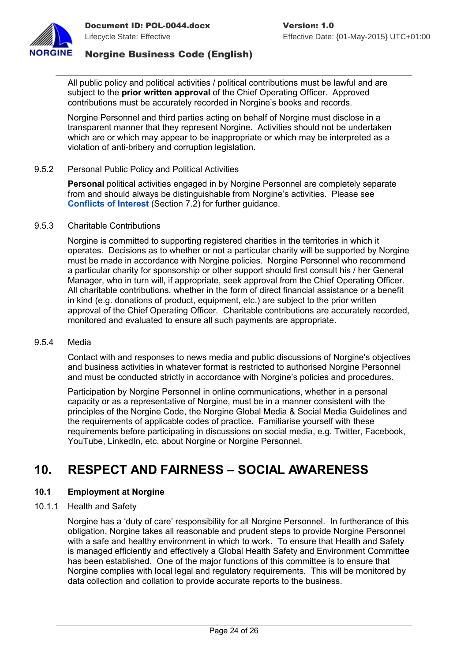

All public policy and political activities / political contributions must be lawful and are subject to the **prior written approval** of the Chief Operating Officer. Approved contributions must be accurately recorded in Norgine's books and records.

Norgine Personnel and third parties acting on behalf of Norgine must disclose in a transparent manner that they represent Norgine. Activities should not be undertaken which are or which may appear to be inappropriate or which may be interpreted as a violation of anti-bribery and corruption legislation.

#### <span id="page-24-2"></span>9.5.2 Personal Public Policy and Political Activities

**Personal** political activities engaged in by Norgine Personnel are completely separate from and should always be distinguishable from Norgine's activities. Please see **[Conflicts of Interest](#page-15-0)** (Section [7.2\)](#page-15-0) for further guidance.

#### 9.5.3 Charitable Contributions

Norgine is committed to supporting registered charities in the territories in which it operates. Decisions as to whether or not a particular charity will be supported by Norgine must be made in accordance with Norgine policies. Norgine Personnel who recommend a particular charity for sponsorship or other support should first consult his / her General Manager, who in turn will, if appropriate, seek approval from the Chief Operating Officer. All charitable contributions, whether in the form of direct financial assistance or a benefit in kind (e.g. donations of product, equipment, etc.) are subject to the prior written approval of the Chief Operating Officer. Charitable contributions are accurately recorded, monitored and evaluated to ensure all such payments are appropriate.

#### 9.5.4 Media

Contact with and responses to news media and public discussions of Norgine's objectives and business activities in whatever format is restricted to authorised Norgine Personnel and must be conducted strictly in accordance with Norgine's policies and procedures.

Participation by Norgine Personnel in online communications, whether in a personal capacity or as a representative of Norgine, must be in a manner consistent with the principles of the Norgine Code, the Norgine Global Media & Social Media Guidelines and the requirements of applicable codes of practice. Familiarise yourself with these requirements before participating in discussions on social media, e.g. Twitter, Facebook, YouTube, LinkedIn, etc. about Norgine or Norgine Personnel.

# <span id="page-24-1"></span>**10. RESPECT AND FAIRNESS – SOCIAL AWARENESS**

#### <span id="page-24-0"></span>**10.1 Employment at Norgine**

#### 10.1.1 Health and Safety

Norgine has a 'duty of care' responsibility for all Norgine Personnel. In furtherance of this obligation, Norgine takes all reasonable and prudent steps to provide Norgine Personnel with a safe and healthy environment in which to work. To ensure that Health and Safety is managed efficiently and effectively a Global Health Safety and Environment Committee has been established. One of the major functions of this committee is to ensure that Norgine complies with local legal and regulatory requirements. This will be monitored by data collection and collation to provide accurate reports to the business.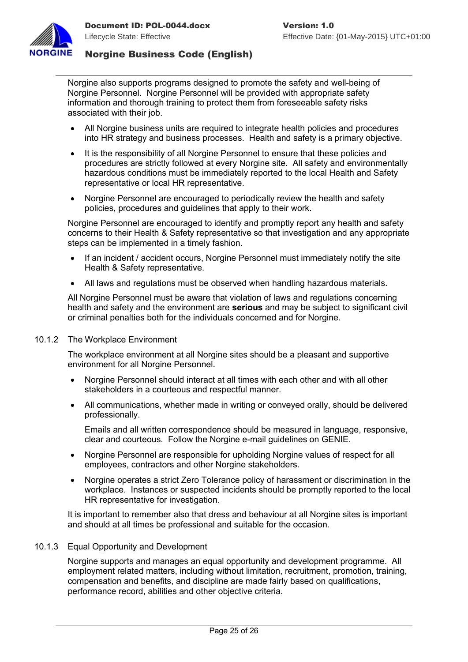

Norgine also supports programs designed to promote the safety and well-being of Norgine Personnel. Norgine Personnel will be provided with appropriate safety information and thorough training to protect them from foreseeable safety risks associated with their job.

- All Norgine business units are required to integrate health policies and procedures into HR strategy and business processes. Health and safety is a primary objective.
- It is the responsibility of all Norgine Personnel to ensure that these policies and procedures are strictly followed at every Norgine site. All safety and environmentally hazardous conditions must be immediately reported to the local Health and Safety representative or local HR representative.
- Norgine Personnel are encouraged to periodically review the health and safety policies, procedures and guidelines that apply to their work.

Norgine Personnel are encouraged to identify and promptly report any health and safety concerns to their Health & Safety representative so that investigation and any appropriate steps can be implemented in a timely fashion.

- If an incident / accident occurs, Norgine Personnel must immediately notify the site Health & Safety representative.
- All laws and regulations must be observed when handling hazardous materials.

All Norgine Personnel must be aware that violation of laws and regulations concerning health and safety and the environment are **serious** and may be subject to significant civil or criminal penalties both for the individuals concerned and for Norgine.

#### 10.1.2 The Workplace Environment

The workplace environment at all Norgine sites should be a pleasant and supportive environment for all Norgine Personnel.

- Norgine Personnel should interact at all times with each other and with all other stakeholders in a courteous and respectful manner.
- All communications, whether made in writing or conveyed orally, should be delivered professionally.

Emails and all written correspondence should be measured in language, responsive, clear and courteous. Follow the Norgine e-mail guidelines on GENIE.

- Norgine Personnel are responsible for upholding Norgine values of respect for all employees, contractors and other Norgine stakeholders.
- Norgine operates a strict Zero Tolerance policy of harassment or discrimination in the workplace. Instances or suspected incidents should be promptly reported to the local HR representative for investigation.

It is important to remember also that dress and behaviour at all Norgine sites is important and should at all times be professional and suitable for the occasion.

#### 10.1.3 Equal Opportunity and Development

Norgine supports and manages an equal opportunity and development programme. All employment related matters, including without limitation, recruitment, promotion, training, compensation and benefits, and discipline are made fairly based on qualifications, performance record, abilities and other objective criteria.